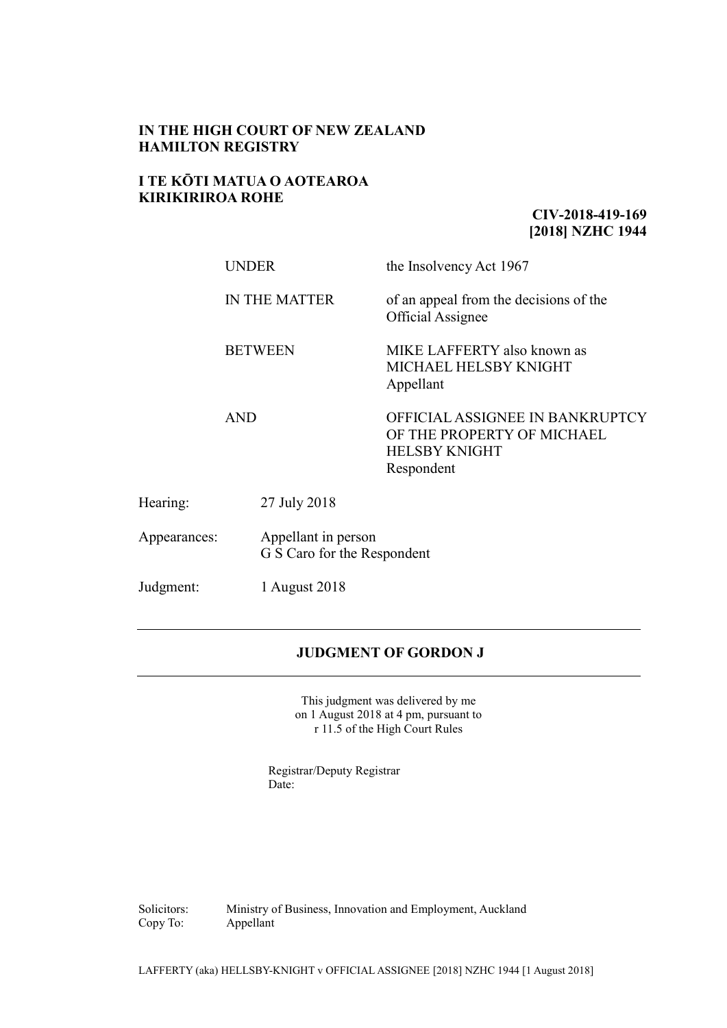### **IN THE HIGH COURT OF NEW ZEALAND HAMILTON REGISTRY**

### **I TE KŌTI MATUA O AOTEAROA KIRIKIRIROA ROHE**

## **CIV-2018-419-169 [2018] NZHC 1944**

|                            | <b>UNDER</b><br><b>IN THE MATTER</b><br><b>BETWEEN</b> |              | the Insolvency Act 1967                                                                             |
|----------------------------|--------------------------------------------------------|--------------|-----------------------------------------------------------------------------------------------------|
|                            |                                                        |              | of an appeal from the decisions of the<br><b>Official Assignee</b>                                  |
|                            |                                                        |              | MIKE LAFFERTY also known as<br>MICHAEL HELSBY KNIGHT<br>Appellant                                   |
| <b>AND</b>                 |                                                        |              | OFFICIAL ASSIGNEE IN BANKRUPTCY<br>OF THE PROPERTY OF MICHAEL<br><b>HELSBY KNIGHT</b><br>Respondent |
| Hearing:                   |                                                        | 27 July 2018 |                                                                                                     |
| Appearances:               | Appellant in person<br>G S Caro for the Respondent     |              |                                                                                                     |
| Judgment:<br>1 August 2018 |                                                        |              |                                                                                                     |

### **JUDGMENT OF GORDON J**

This judgment was delivered by me on 1 August 2018 at 4 pm, pursuant to r 11.5 of the High Court Rules

Registrar/Deputy Registrar Date:

Solicitors: Ministry of Business, Innovation and Employment, Auckland Copy To: Appellant Appellant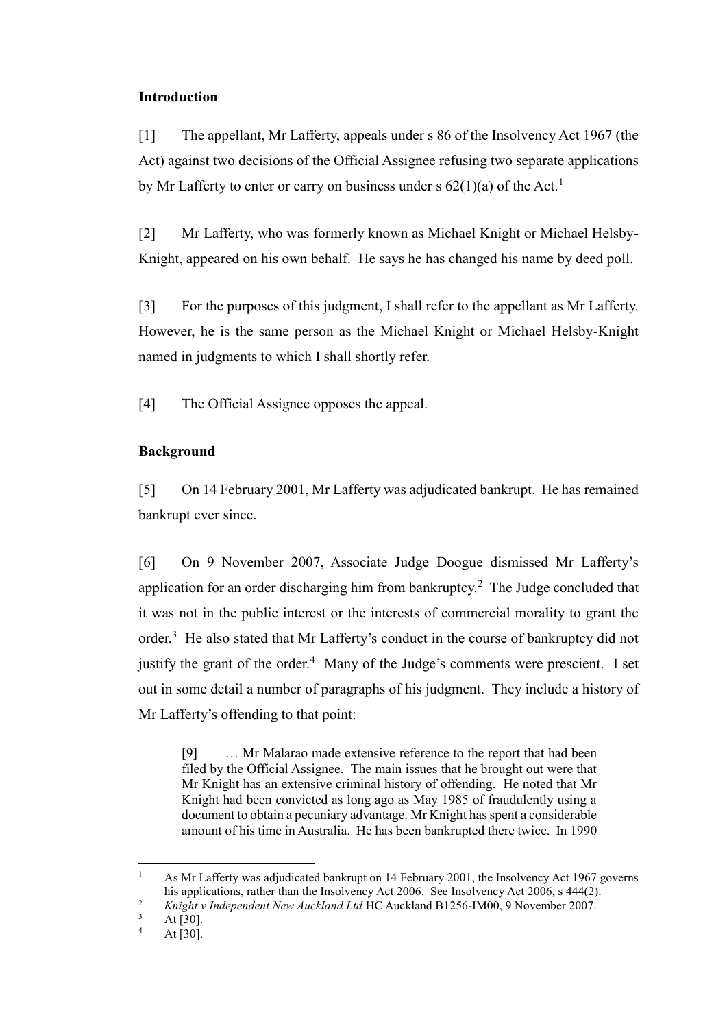## **Introduction**

[1] The appellant, Mr Lafferty, appeals under s 86 of the Insolvency Act 1967 (the Act) against two decisions of the Official Assignee refusing two separate applications by Mr Lafferty to enter or carry on business under s  $62(1)(a)$  of the Act.<sup>1</sup>

[2] Mr Lafferty, who was formerly known as Michael Knight or Michael Helsby-Knight, appeared on his own behalf. He says he has changed his name by deed poll.

[3] For the purposes of this judgment, I shall refer to the appellant as Mr Lafferty. However, he is the same person as the Michael Knight or Michael Helsby-Knight named in judgments to which I shall shortly refer.

[4] The Official Assignee opposes the appeal.

# **Background**

[5] On 14 February 2001, Mr Lafferty was adjudicated bankrupt. He has remained bankrupt ever since.

[6] On 9 November 2007, Associate Judge Doogue dismissed Mr Lafferty's application for an order discharging him from bankruptcy.<sup>2</sup> The Judge concluded that it was not in the public interest or the interests of commercial morality to grant the order.<sup>3</sup> He also stated that Mr Lafferty's conduct in the course of bankruptcy did not justify the grant of the order. $4$  Many of the Judge's comments were prescient. I set out in some detail a number of paragraphs of his judgment. They include a history of Mr Lafferty's offending to that point:

<span id="page-1-0"></span>[9] … Mr Malarao made extensive reference to the report that had been filed by the Official Assignee. The main issues that he brought out were that Mr Knight has an extensive criminal history of offending. He noted that Mr Knight had been convicted as long ago as May 1985 of fraudulently using a document to obtain a pecuniary advantage. Mr Knight has spent a considerable amount of his time in Australia. He has been bankrupted there twice. In 1990

 $\overline{a}$ 

<sup>&</sup>lt;sup>1</sup> As Mr Lafferty was adjudicated bankrupt on 14 February 2001, the Insolvency Act 1967 governs his applications, rather than the Insolvency Act 2006. See Insolvency Act 2006, s 444(2).

<sup>&</sup>lt;sup>2</sup> *Knight v Independent New Auckland Ltd* HC Auckland B1256-IM00, 9 November 2007.

 $\frac{3}{4}$  At [30].

At  $[30]$ .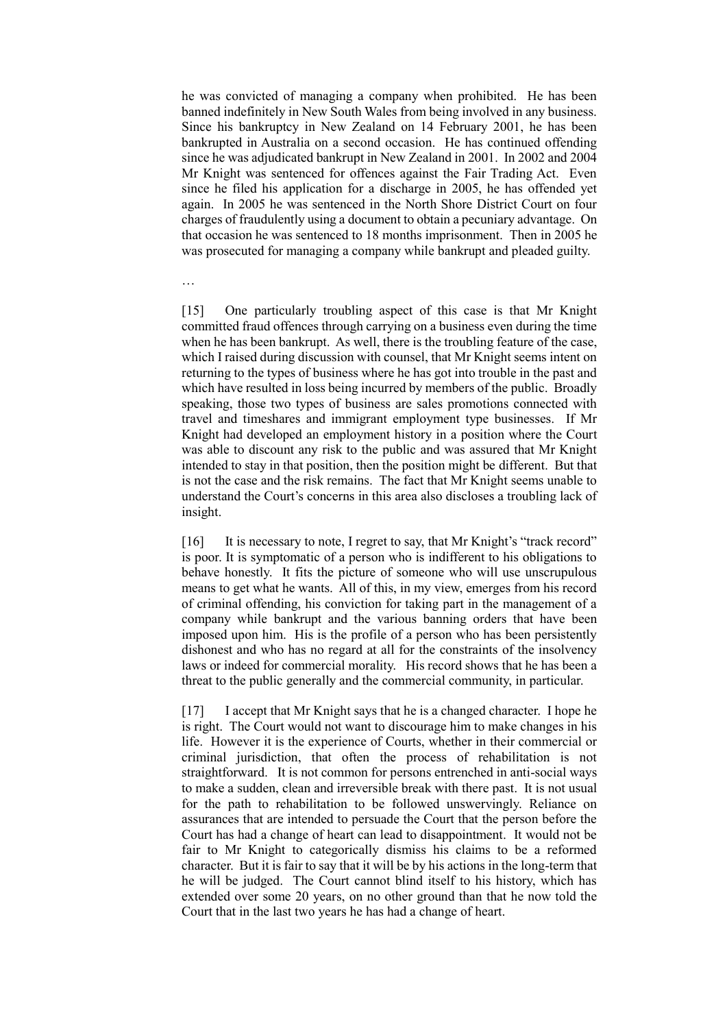he was convicted of managing a company when prohibited. He has been banned indefinitely in New South Wales from being involved in any business. Since his bankruptcy in New Zealand on 14 February 2001, he has been bankrupted in Australia on a second occasion. He has continued offending since he was adjudicated bankrupt in New Zealand in 2001. In 2002 and 2004 Mr Knight was sentenced for offences against the Fair Trading Act. Even since he filed his application for a discharge in 2005, he has offended yet again. In 2005 he was sentenced in the North Shore District Court on four charges of fraudulently using a document to obtain a pecuniary advantage. On that occasion he was sentenced to 18 months imprisonment. Then in 2005 he was prosecuted for managing a company while bankrupt and pleaded guilty.

…

[15] One particularly troubling aspect of this case is that Mr Knight committed fraud offences through carrying on a business even during the time when he has been bankrupt. As well, there is the troubling feature of the case, which I raised during discussion with counsel, that Mr Knight seems intent on returning to the types of business where he has got into trouble in the past and which have resulted in loss being incurred by members of the public. Broadly speaking, those two types of business are sales promotions connected with travel and timeshares and immigrant employment type businesses. If Mr Knight had developed an employment history in a position where the Court was able to discount any risk to the public and was assured that Mr Knight intended to stay in that position, then the position might be different. But that is not the case and the risk remains. The fact that Mr Knight seems unable to understand the Court's concerns in this area also discloses a troubling lack of insight.

[16] It is necessary to note, I regret to say, that Mr Knight's "track record" is poor. It is symptomatic of a person who is indifferent to his obligations to behave honestly. It fits the picture of someone who will use unscrupulous means to get what he wants. All of this, in my view, emerges from his record of criminal offending, his conviction for taking part in the management of a company while bankrupt and the various banning orders that have been imposed upon him. His is the profile of a person who has been persistently dishonest and who has no regard at all for the constraints of the insolvency laws or indeed for commercial morality. His record shows that he has been a threat to the public generally and the commercial community, in particular.

[17] I accept that Mr Knight says that he is a changed character. I hope he is right. The Court would not want to discourage him to make changes in his life. However it is the experience of Courts, whether in their commercial or criminal jurisdiction, that often the process of rehabilitation is not straightforward. It is not common for persons entrenched in anti-social ways to make a sudden, clean and irreversible break with there past. It is not usual for the path to rehabilitation to be followed unswervingly. Reliance on assurances that are intended to persuade the Court that the person before the Court has had a change of heart can lead to disappointment. It would not be fair to Mr Knight to categorically dismiss his claims to be a reformed character. But it is fair to say that it will be by his actions in the long-term that he will be judged. The Court cannot blind itself to his history, which has extended over some 20 years, on no other ground than that he now told the Court that in the last two years he has had a change of heart.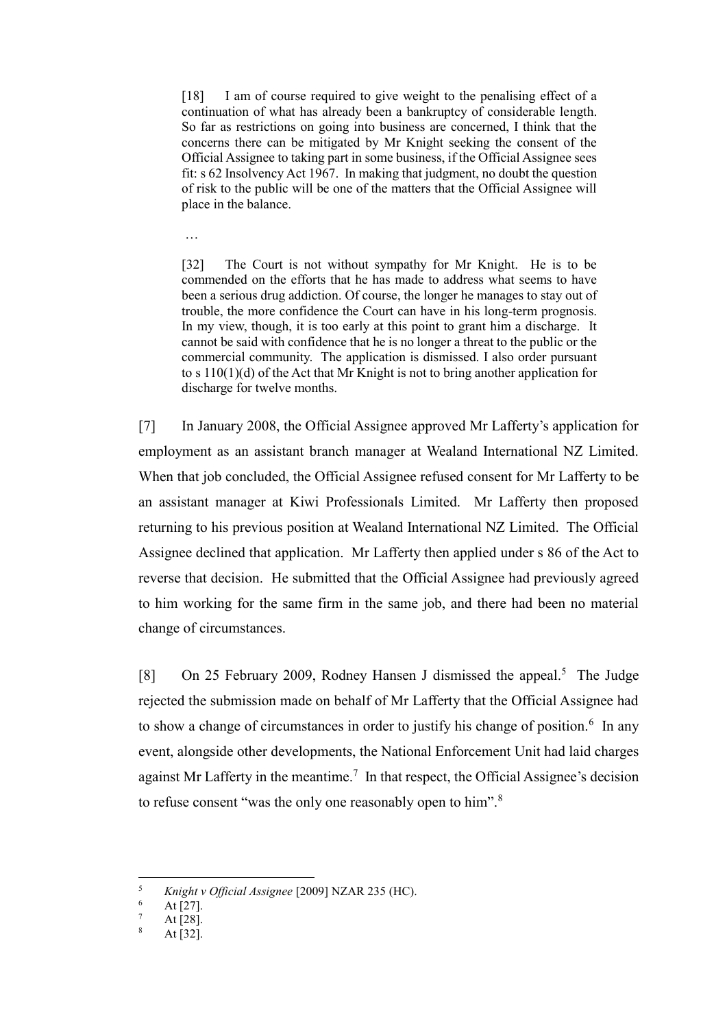[18] I am of course required to give weight to the penalising effect of a continuation of what has already been a bankruptcy of considerable length. So far as restrictions on going into business are concerned, I think that the concerns there can be mitigated by Mr Knight seeking the consent of the Official Assignee to taking part in some business, if the Official Assignee sees fit: s 62 Insolvency Act 1967. In making that judgment, no doubt the question of risk to the public will be one of the matters that the Official Assignee will place in the balance.

…

[32] The Court is not without sympathy for Mr Knight. He is to be commended on the efforts that he has made to address what seems to have been a serious drug addiction. Of course, the longer he manages to stay out of trouble, the more confidence the Court can have in his long-term prognosis. In my view, though, it is too early at this point to grant him a discharge. It cannot be said with confidence that he is no longer a threat to the public or the commercial community. The application is dismissed. I also order pursuant to s  $110(1)(d)$  of the Act that Mr Knight is not to bring another application for discharge for twelve months.

[7] In January 2008, the Official Assignee approved Mr Lafferty's application for employment as an assistant branch manager at Wealand International NZ Limited. When that job concluded, the Official Assignee refused consent for Mr Lafferty to be an assistant manager at Kiwi Professionals Limited. Mr Lafferty then proposed returning to his previous position at Wealand International NZ Limited. The Official Assignee declined that application. Mr Lafferty then applied under s 86 of the Act to reverse that decision. He submitted that the Official Assignee had previously agreed to him working for the same firm in the same job, and there had been no material change of circumstances.

[8] On 25 February 2009, Rodney Hansen J dismissed the appeal.<sup>5</sup> The Judge rejected the submission made on behalf of Mr Lafferty that the Official Assignee had to show a change of circumstances in order to justify his change of position.<sup>6</sup> In any event, alongside other developments, the National Enforcement Unit had laid charges against Mr Lafferty in the meantime.<sup>7</sup> In that respect, the Official Assignee's decision to refuse consent "was the only one reasonably open to him".<sup>8</sup>

 $\overline{a}$ 

<sup>5</sup> *Knight v Official Assignee* [2009] NZAR 235 (HC).

 $\frac{6}{7}$  At [27].

 $\frac{7}{8}$  At [28]. At  $[32]$ .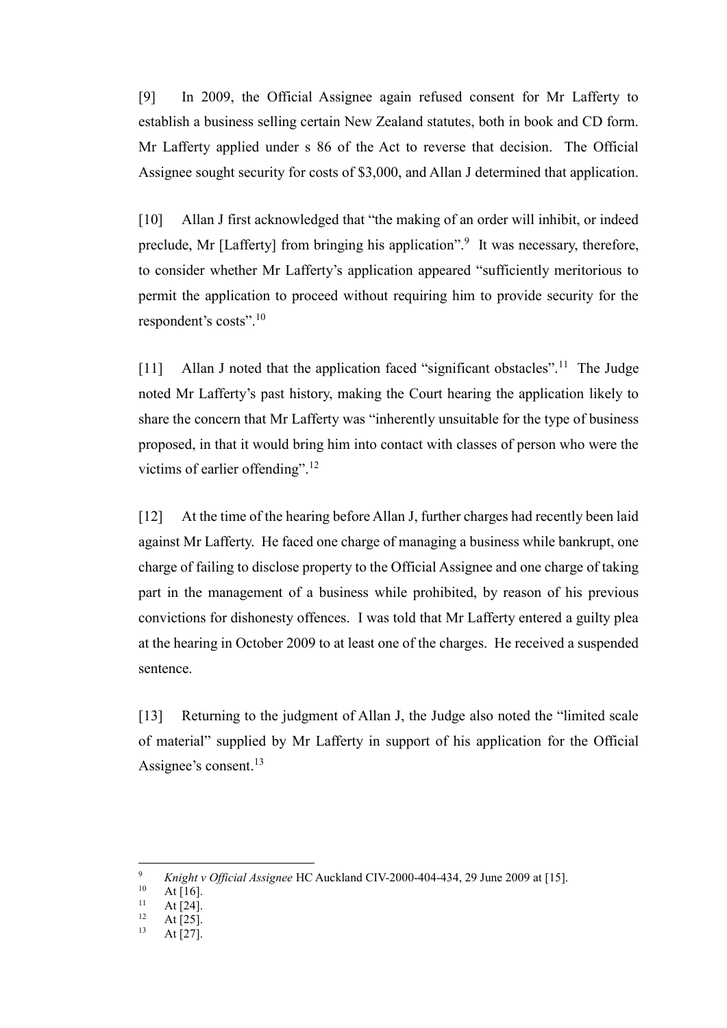[9] In 2009, the Official Assignee again refused consent for Mr Lafferty to establish a business selling certain New Zealand statutes, both in book and CD form. Mr Lafferty applied under s 86 of the Act to reverse that decision. The Official Assignee sought security for costs of \$3,000, and Allan J determined that application.

[10] Allan J first acknowledged that "the making of an order will inhibit, or indeed preclude, Mr [Lafferty] from bringing his application".<sup>9</sup> It was necessary, therefore, to consider whether Mr Lafferty's application appeared "sufficiently meritorious to permit the application to proceed without requiring him to provide security for the respondent's costs".<sup>10</sup>

[11] Allan J noted that the application faced "significant obstacles".<sup>11</sup> The Judge noted Mr Lafferty's past history, making the Court hearing the application likely to share the concern that Mr Lafferty was "inherently unsuitable for the type of business proposed, in that it would bring him into contact with classes of person who were the victims of earlier offending".<sup>12</sup>

[12] At the time of the hearing before Allan J, further charges had recently been laid against Mr Lafferty. He faced one charge of managing a business while bankrupt, one charge of failing to disclose property to the Official Assignee and one charge of taking part in the management of a business while prohibited, by reason of his previous convictions for dishonesty offences. I was told that Mr Lafferty entered a guilty plea at the hearing in October 2009 to at least one of the charges. He received a suspended sentence.

[13] Returning to the judgment of Allan J, the Judge also noted the "limited scale" of material" supplied by Mr Lafferty in support of his application for the Official Assignee's consent.<sup>13</sup>

 $\overline{a}$ 

At [27].

<sup>9</sup> *Knight v Official Assignee* HC Auckland CIV-2000-404-434, 29 June 2009 at [15].

At  $[16]$ .

 $11$  At [24].

 $12$  At [25].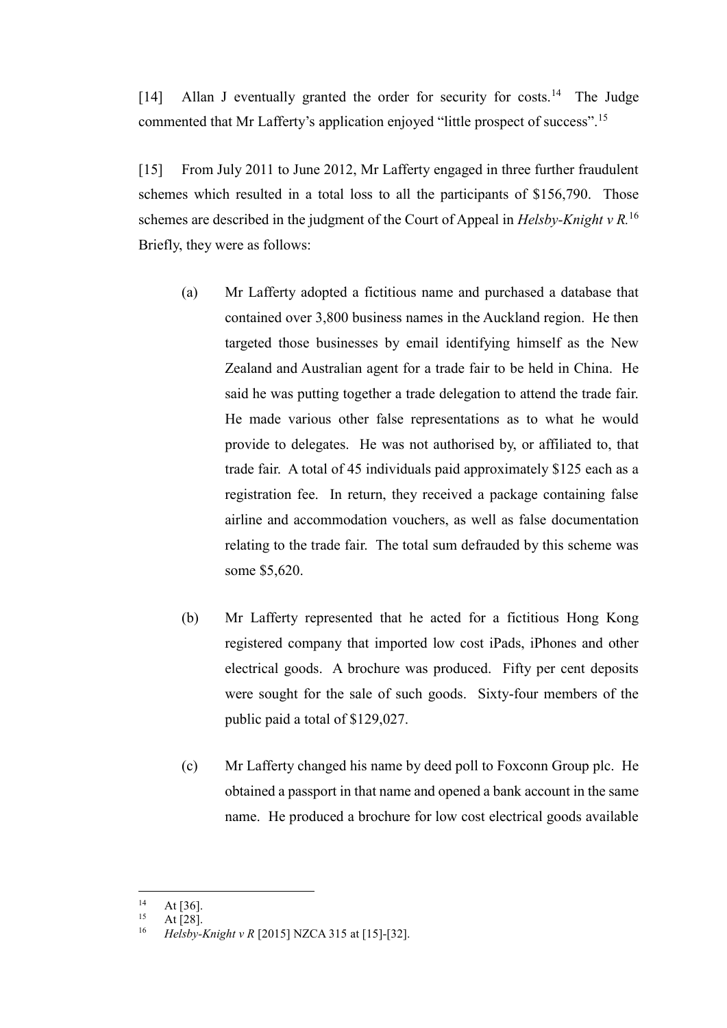[14] Allan J eventually granted the order for security for costs.<sup>14</sup> The Judge commented that Mr Lafferty's application enjoyed "little prospect of success".<sup>15</sup>

[15] From July 2011 to June 2012, Mr Lafferty engaged in three further fraudulent schemes which resulted in a total loss to all the participants of \$156,790. Those schemes are described in the judgment of the Court of Appeal in *Helsby-Knight v R*.<sup>16</sup> Briefly, they were as follows:

- <span id="page-5-0"></span>(a) Mr Lafferty adopted a fictitious name and purchased a database that contained over 3,800 business names in the Auckland region. He then targeted those businesses by email identifying himself as the New Zealand and Australian agent for a trade fair to be held in China. He said he was putting together a trade delegation to attend the trade fair. He made various other false representations as to what he would provide to delegates. He was not authorised by, or affiliated to, that trade fair. A total of 45 individuals paid approximately \$125 each as a registration fee. In return, they received a package containing false airline and accommodation vouchers, as well as false documentation relating to the trade fair. The total sum defrauded by this scheme was some \$5,620.
- (b) Mr Lafferty represented that he acted for a fictitious Hong Kong registered company that imported low cost iPads, iPhones and other electrical goods. A brochure was produced. Fifty per cent deposits were sought for the sale of such goods. Sixty-four members of the public paid a total of \$129,027.
- (c) Mr Lafferty changed his name by deed poll to Foxconn Group plc. He obtained a passport in that name and opened a bank account in the same name. He produced a brochure for low cost electrical goods available

 $14$  $14$  At [36].

At  $[28]$ .

<sup>16</sup> *Helsby-Knight v R* [2015] NZCA 315 at [15]-[32].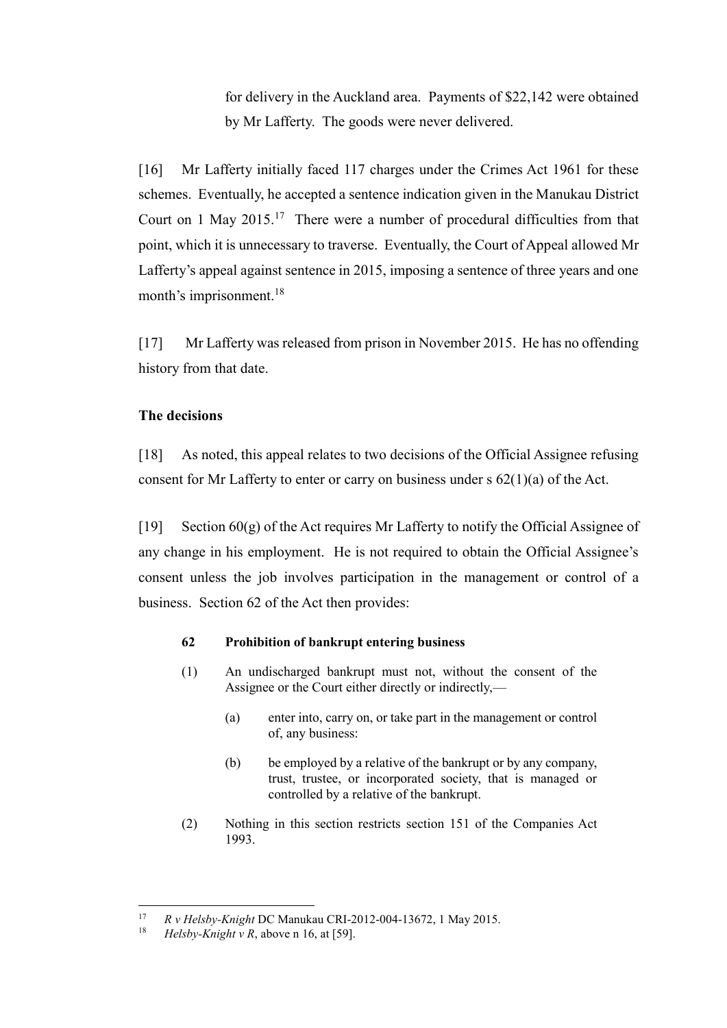for delivery in the Auckland area. Payments of \$22,142 were obtained by Mr Lafferty. The goods were never delivered.

[16] Mr Lafferty initially faced 117 charges under the Crimes Act 1961 for these schemes. Eventually, he accepted a sentence indication given in the Manukau District Court on 1 May  $2015$ .<sup>17</sup> There were a number of procedural difficulties from that point, which it is unnecessary to traverse. Eventually, the Court of Appeal allowed Mr Lafferty's appeal against sentence in 2015, imposing a sentence of three years and one month's imprisonment.<sup>18</sup>

[17] Mr Lafferty was released from prison in November 2015. He has no offending history from that date.

## **The decisions**

[18] As noted, this appeal relates to two decisions of the Official Assignee refusing consent for Mr Lafferty to enter or carry on business under  $s$  62(1)(a) of the Act.

[19] Section  $60(g)$  of the Act requires Mr Lafferty to notify the Official Assignee of any change in his employment. He is not required to obtain the Official Assignee's consent unless the job involves participation in the management or control of a business. Section 62 of the Act then provides:

### **62 Prohibition of bankrupt entering business**

- (1) An undischarged bankrupt must not, without the consent of the Assignee or the Court either directly or indirectly,—
	- (a) enter into, carry on, or take part in the management or control of, any business:
	- (b) be employed by a relative of the bankrupt or by any company, trust, trustee, or incorporated society, that is managed or controlled by a relative of the bankrupt.
- (2) Nothing in this section restricts section 151 of the Companies Act 1993.

 $17$ <sup>17</sup> *R v Helsby-Knight* DC Manukau CRI-2012-004-13672, 1 May 2015.

 $Helsby-Knight v R$ , above n [16,](#page-5-0) at [59].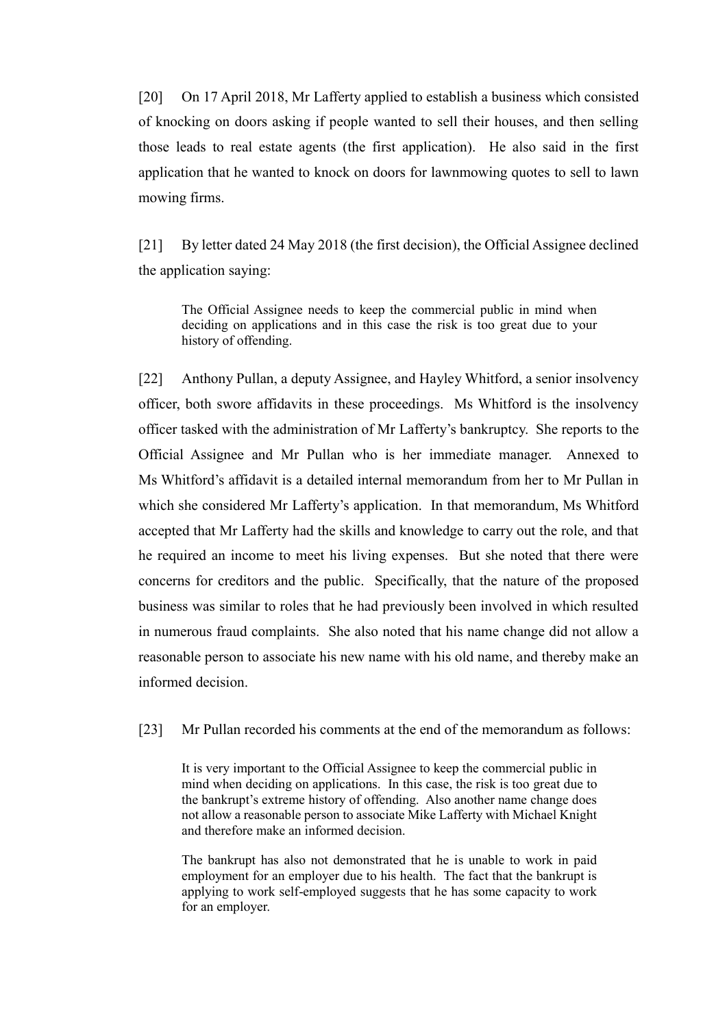[20] On 17 April 2018, Mr Lafferty applied to establish a business which consisted of knocking on doors asking if people wanted to sell their houses, and then selling those leads to real estate agents (the first application). He also said in the first application that he wanted to knock on doors for lawnmowing quotes to sell to lawn mowing firms.

[21] By letter dated 24 May 2018 (the first decision), the Official Assignee declined the application saying:

The Official Assignee needs to keep the commercial public in mind when deciding on applications and in this case the risk is too great due to your history of offending.

<span id="page-7-0"></span>[22] Anthony Pullan, a deputy Assignee, and Hayley Whitford, a senior insolvency officer, both swore affidavits in these proceedings. Ms Whitford is the insolvency officer tasked with the administration of Mr Lafferty's bankruptcy. She reports to the Official Assignee and Mr Pullan who is her immediate manager. Annexed to Ms Whitford's affidavit is a detailed internal memorandum from her to Mr Pullan in which she considered Mr Lafferty's application. In that memorandum, Ms Whitford accepted that Mr Lafferty had the skills and knowledge to carry out the role, and that he required an income to meet his living expenses. But she noted that there were concerns for creditors and the public. Specifically, that the nature of the proposed business was similar to roles that he had previously been involved in which resulted in numerous fraud complaints. She also noted that his name change did not allow a reasonable person to associate his new name with his old name, and thereby make an informed decision.

<span id="page-7-1"></span>[23] Mr Pullan recorded his comments at the end of the memorandum as follows:

It is very important to the Official Assignee to keep the commercial public in mind when deciding on applications. In this case, the risk is too great due to the bankrupt's extreme history of offending. Also another name change does not allow a reasonable person to associate Mike Lafferty with Michael Knight and therefore make an informed decision.

The bankrupt has also not demonstrated that he is unable to work in paid employment for an employer due to his health. The fact that the bankrupt is applying to work self-employed suggests that he has some capacity to work for an employer.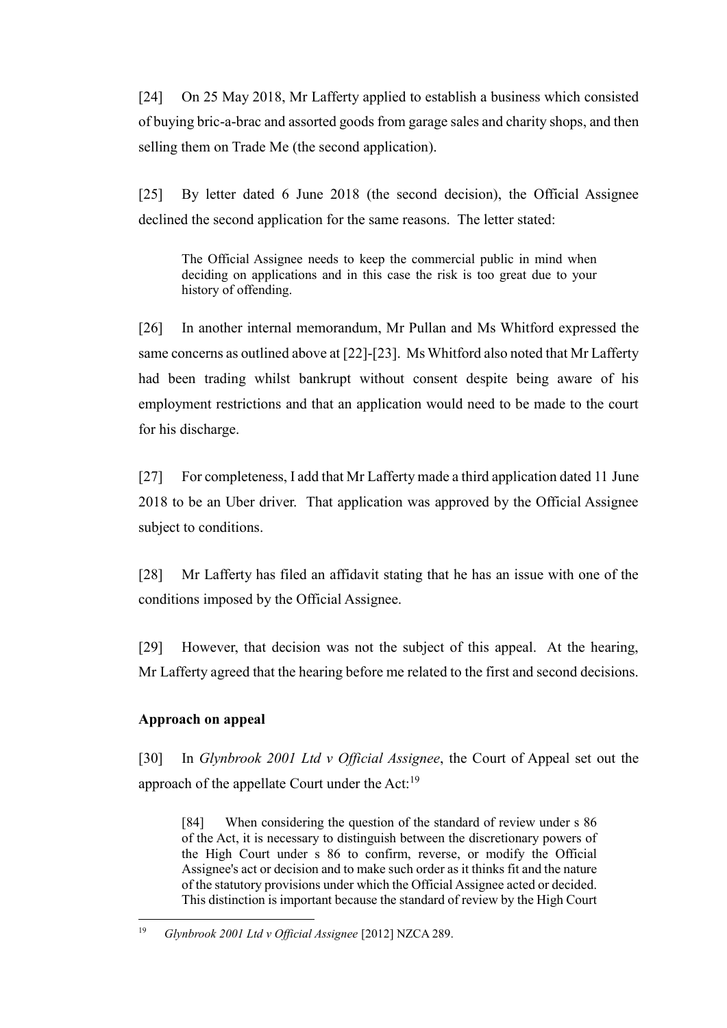[24] On 25 May 2018, Mr Lafferty applied to establish a business which consisted of buying bric-a-brac and assorted goods from garage sales and charity shops, and then selling them on Trade Me (the second application).

[25] By letter dated 6 June 2018 (the second decision), the Official Assignee declined the second application for the same reasons. The letter stated:

The Official Assignee needs to keep the commercial public in mind when deciding on applications and in this case the risk is too great due to your history of offending.

[26] In another internal memorandum, Mr Pullan and Ms Whitford expressed the same concerns as outlined above at [\[22\]](#page-7-0)[-\[23\].](#page-7-1) Ms Whitford also noted that Mr Lafferty had been trading whilst bankrupt without consent despite being aware of his employment restrictions and that an application would need to be made to the court for his discharge.

[27] For completeness, I add that Mr Lafferty made a third application dated 11 June 2018 to be an Uber driver. That application was approved by the Official Assignee subject to conditions.

[28] Mr Lafferty has filed an affidavit stating that he has an issue with one of the conditions imposed by the Official Assignee.

[29] However, that decision was not the subject of this appeal. At the hearing, Mr Lafferty agreed that the hearing before me related to the first and second decisions.

# **Approach on appeal**

 $\overline{a}$ 

[30] In *Glynbrook 2001 Ltd v Official Assignee*, the Court of Appeal set out the approach of the appellate Court under the Act: $^{19}$ 

[84] When considering the question of the standard of review under s 86 of the Act, it is necessary to distinguish between the discretionary powers of the High Court under s 86 to confirm, reverse, or modify the Official Assignee's act or decision and to make such order as it thinks fit and the nature of the statutory provisions under which the Official Assignee acted or decided. This distinction is important because the standard of review by the High Court

<sup>19</sup> *Glynbrook 2001 Ltd v Official Assignee* [2012] NZCA 289.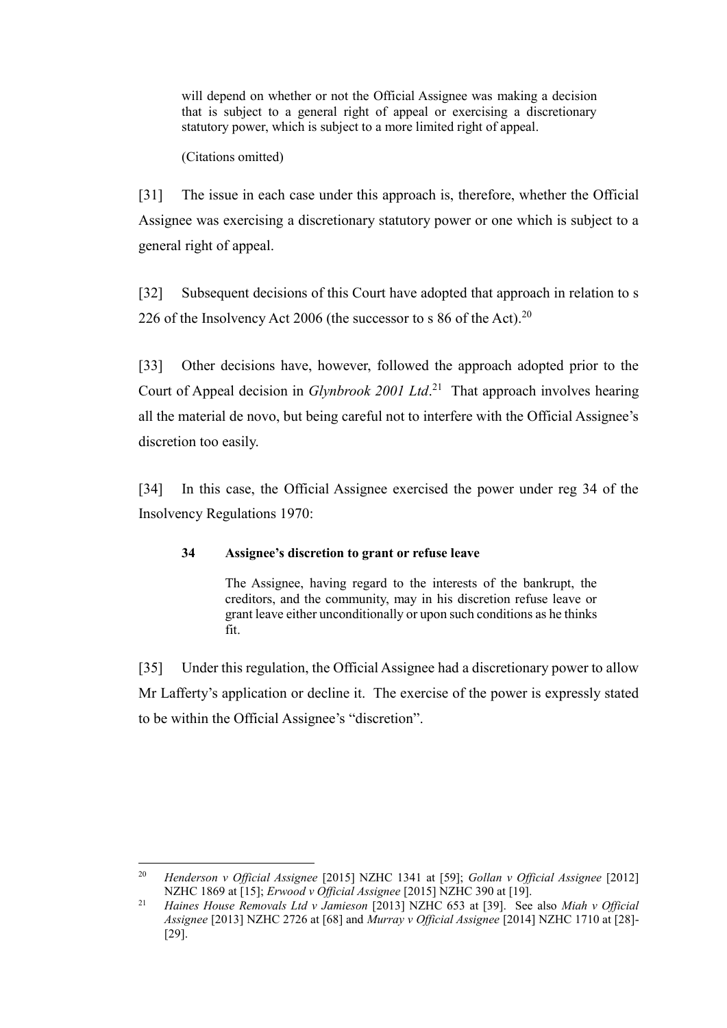will depend on whether or not the Official Assignee was making a decision that is subject to a general right of appeal or exercising a discretionary statutory power, which is subject to a more limited right of appeal.

(Citations omitted)

[31] The issue in each case under this approach is, therefore, whether the Official Assignee was exercising a discretionary statutory power or one which is subject to a general right of appeal.

[32] Subsequent decisions of this Court have adopted that approach in relation to s 226 of the Insolvency Act 2006 (the successor to s 86 of the Act).<sup>20</sup>

[33] Other decisions have, however, followed the approach adopted prior to the Court of Appeal decision in *Glynbrook 2001 Ltd*. 21 That approach involves hearing all the material de novo, but being careful not to interfere with the Official Assignee's discretion too easily.

<span id="page-9-0"></span>[34] In this case, the Official Assignee exercised the power under reg 34 of the Insolvency Regulations 1970:

# **34 Assignee's discretion to grant or refuse leave**

The Assignee, having regard to the interests of the bankrupt, the creditors, and the community, may in his discretion refuse leave or grant leave either unconditionally or upon such conditions as he thinks fit.

[35] Under this regulation, the Official Assignee had a discretionary power to allow Mr Lafferty's application or decline it. The exercise of the power is expressly stated to be within the Official Assignee's "discretion".

<sup>20</sup> <sup>20</sup> *Henderson v Official Assignee* [2015] NZHC 1341 at [59]; *Gollan v Official Assignee* [2012] NZHC 1869 at [15]; *Erwood v Official Assignee* [2015] NZHC 390 at [19].

<sup>21</sup> *Haines House Removals Ltd v Jamieson* [2013] NZHC 653 at [39]. See also *Miah v Official Assignee* [2013] NZHC 2726 at [68] and *Murray v Official Assignee* [2014] NZHC 1710 at [28]- [29].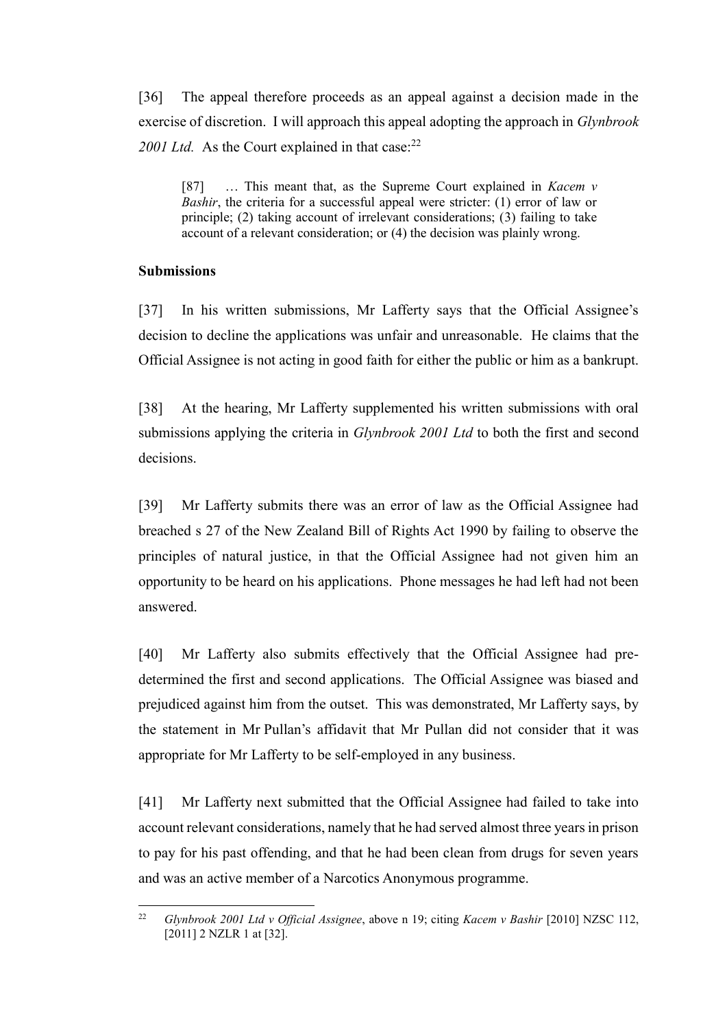[36] The appeal therefore proceeds as an appeal against a decision made in the exercise of discretion. I will approach this appeal adopting the approach in *Glynbrook* 2001 Ltd. As the Court explained in that case:<sup>22</sup>

[87] … This meant that, as the Supreme Court explained in *Kacem v Bashir*, the criteria for a successful appeal were stricter: (1) error of law or principle; (2) taking account of irrelevant considerations; (3) failing to take account of a relevant consideration; or (4) the decision was plainly wrong.

### **Submissions**

[37] In his written submissions, Mr Lafferty says that the Official Assignee's decision to decline the applications was unfair and unreasonable. He claims that the Official Assignee is not acting in good faith for either the public or him as a bankrupt.

[38] At the hearing, Mr Lafferty supplemented his written submissions with oral submissions applying the criteria in *Glynbrook 2001 Ltd* to both the first and second decisions.

[39] Mr Lafferty submits there was an error of law as the Official Assignee had breached s 27 of the New Zealand Bill of Rights Act 1990 by failing to observe the principles of natural justice, in that the Official Assignee had not given him an opportunity to be heard on his applications. Phone messages he had left had not been answered.

<span id="page-10-0"></span>[40] Mr Lafferty also submits effectively that the Official Assignee had predetermined the first and second applications. The Official Assignee was biased and prejudiced against him from the outset. This was demonstrated, Mr Lafferty says, by the statement in Mr Pullan's affidavit that Mr Pullan did not consider that it was appropriate for Mr Lafferty to be self-employed in any business.

[41] Mr Lafferty next submitted that the Official Assignee had failed to take into account relevant considerations, namely that he had served almost three years in prison to pay for his past offending, and that he had been clean from drugs for seven years and was an active member of a Narcotics Anonymous programme.

 $22$ <sup>22</sup> *Glynbrook 2001 Ltd v Official Assignee*, above n 19; citing *Kacem v Bashir* [2010] NZSC 112, [2011] 2 NZLR 1 at [32].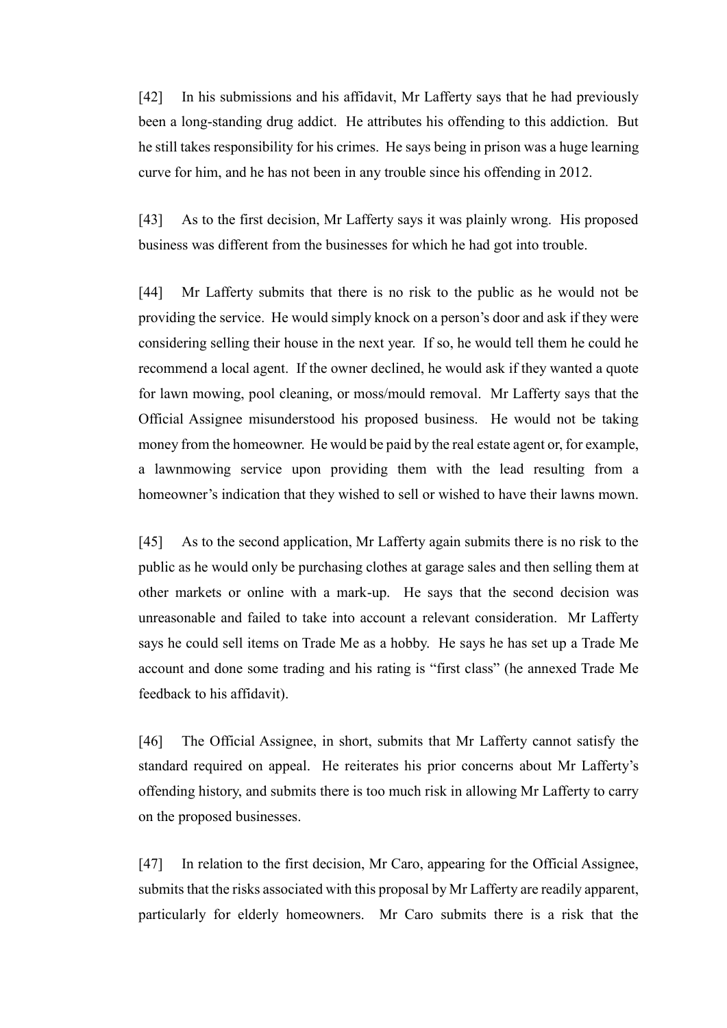[42] In his submissions and his affidavit, Mr Lafferty says that he had previously been a long-standing drug addict. He attributes his offending to this addiction. But he still takes responsibility for his crimes. He says being in prison was a huge learning curve for him, and he has not been in any trouble since his offending in 2012.

[43] As to the first decision, Mr Lafferty says it was plainly wrong. His proposed business was different from the businesses for which he had got into trouble.

[44] Mr Lafferty submits that there is no risk to the public as he would not be providing the service. He would simply knock on a person's door and ask if they were considering selling their house in the next year. If so, he would tell them he could he recommend a local agent. If the owner declined, he would ask if they wanted a quote for lawn mowing, pool cleaning, or moss/mould removal. Mr Lafferty says that the Official Assignee misunderstood his proposed business. He would not be taking money from the homeowner. He would be paid by the real estate agent or, for example, a lawnmowing service upon providing them with the lead resulting from a homeowner's indication that they wished to sell or wished to have their lawns mown.

[45] As to the second application, Mr Lafferty again submits there is no risk to the public as he would only be purchasing clothes at garage sales and then selling them at other markets or online with a mark-up. He says that the second decision was unreasonable and failed to take into account a relevant consideration. Mr Lafferty says he could sell items on Trade Me as a hobby. He says he has set up a Trade Me account and done some trading and his rating is "first class" (he annexed Trade Me feedback to his affidavit).

[46] The Official Assignee, in short, submits that Mr Lafferty cannot satisfy the standard required on appeal. He reiterates his prior concerns about Mr Lafferty's offending history, and submits there is too much risk in allowing Mr Lafferty to carry on the proposed businesses.

[47] In relation to the first decision, Mr Caro, appearing for the Official Assignee, submits that the risks associated with this proposal by Mr Lafferty are readily apparent, particularly for elderly homeowners. Mr Caro submits there is a risk that the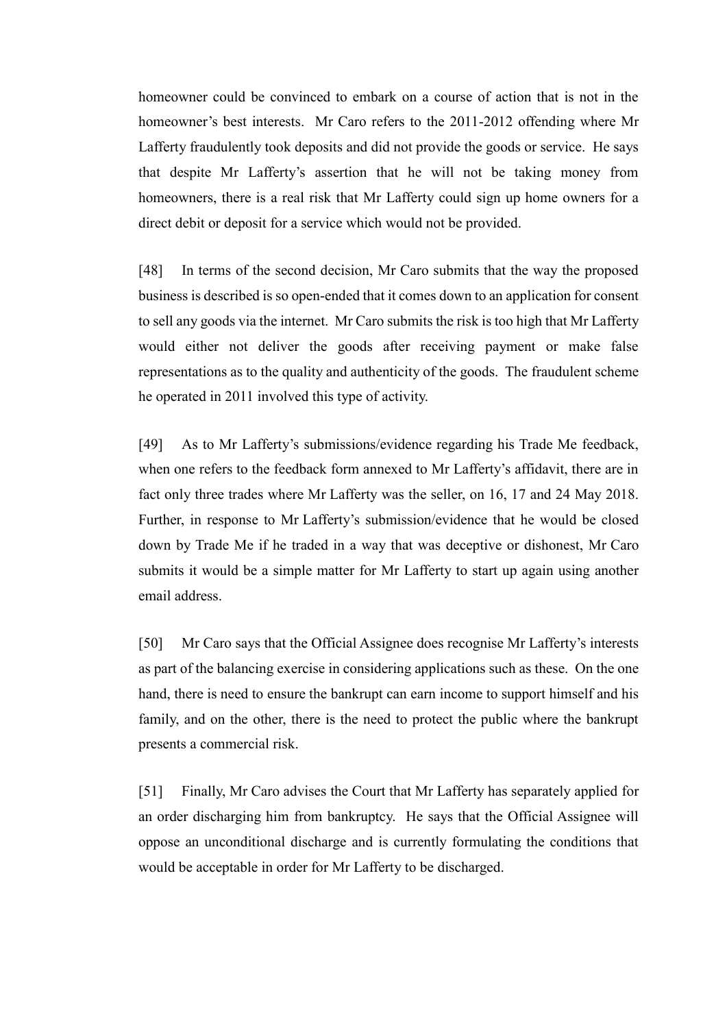homeowner could be convinced to embark on a course of action that is not in the homeowner's best interests. Mr Caro refers to the 2011-2012 offending where Mr Lafferty fraudulently took deposits and did not provide the goods or service. He says that despite Mr Lafferty's assertion that he will not be taking money from homeowners, there is a real risk that Mr Lafferty could sign up home owners for a direct debit or deposit for a service which would not be provided.

[48] In terms of the second decision, Mr Caro submits that the way the proposed business is described is so open-ended that it comes down to an application for consent to sell any goods via the internet. Mr Caro submits the risk is too high that Mr Lafferty would either not deliver the goods after receiving payment or make false representations as to the quality and authenticity of the goods. The fraudulent scheme he operated in 2011 involved this type of activity.

[49] As to Mr Lafferty's submissions/evidence regarding his Trade Me feedback, when one refers to the feedback form annexed to Mr Lafferty's affidavit, there are in fact only three trades where Mr Lafferty was the seller, on 16, 17 and 24 May 2018. Further, in response to Mr Lafferty's submission/evidence that he would be closed down by Trade Me if he traded in a way that was deceptive or dishonest, Mr Caro submits it would be a simple matter for Mr Lafferty to start up again using another email address.

[50] Mr Caro says that the Official Assignee does recognise Mr Lafferty's interests as part of the balancing exercise in considering applications such as these. On the one hand, there is need to ensure the bankrupt can earn income to support himself and his family, and on the other, there is the need to protect the public where the bankrupt presents a commercial risk.

[51] Finally, Mr Caro advises the Court that Mr Lafferty has separately applied for an order discharging him from bankruptcy. He says that the Official Assignee will oppose an unconditional discharge and is currently formulating the conditions that would be acceptable in order for Mr Lafferty to be discharged.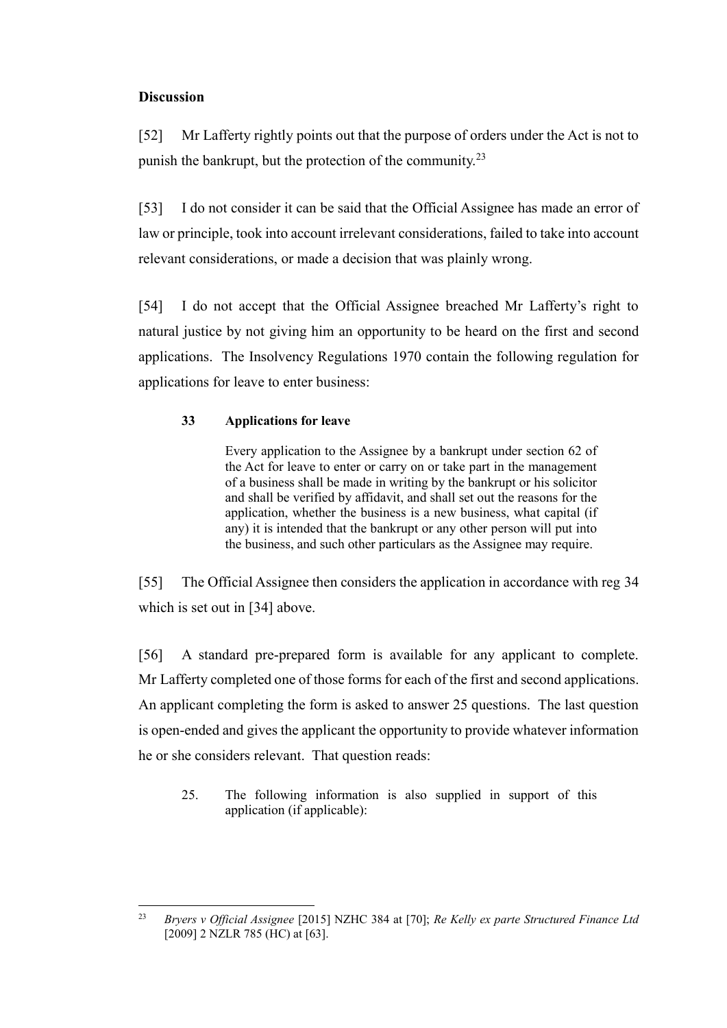# **Discussion**

[52] Mr Lafferty rightly points out that the purpose of orders under the Act is not to punish the bankrupt, but the protection of the community.<sup>23</sup>

[53] I do not consider it can be said that the Official Assignee has made an error of law or principle, took into account irrelevant considerations, failed to take into account relevant considerations, or made a decision that was plainly wrong.

[54] I do not accept that the Official Assignee breached Mr Lafferty's right to natural justice by not giving him an opportunity to be heard on the first and second applications. The Insolvency Regulations 1970 contain the following regulation for applications for leave to enter business:

# **33 Applications for leave**

Every application to the Assignee by a bankrupt under section 62 of the Act for leave to enter or carry on or take part in the management of a business shall be made in writing by the bankrupt or his solicitor and shall be verified by affidavit, and shall set out the reasons for the application, whether the business is a new business, what capital (if any) it is intended that the bankrupt or any other person will put into the business, and such other particulars as the Assignee may require.

[55] The Official Assignee then considers the application in accordance with reg 34 which is set out in [\[34\]](#page-9-0) above.

[56] A standard pre-prepared form is available for any applicant to complete. Mr Lafferty completed one of those forms for each of the first and second applications. An applicant completing the form is asked to answer 25 questions. The last question is open-ended and gives the applicant the opportunity to provide whatever information he or she considers relevant. That question reads:

25. The following information is also supplied in support of this application (if applicable):

 $23$ <sup>23</sup> *Bryers v Official Assignee* [2015] NZHC 384 at [70]; *Re Kelly ex parte Structured Finance Ltd* [2009] 2 NZLR 785 (HC) at [63].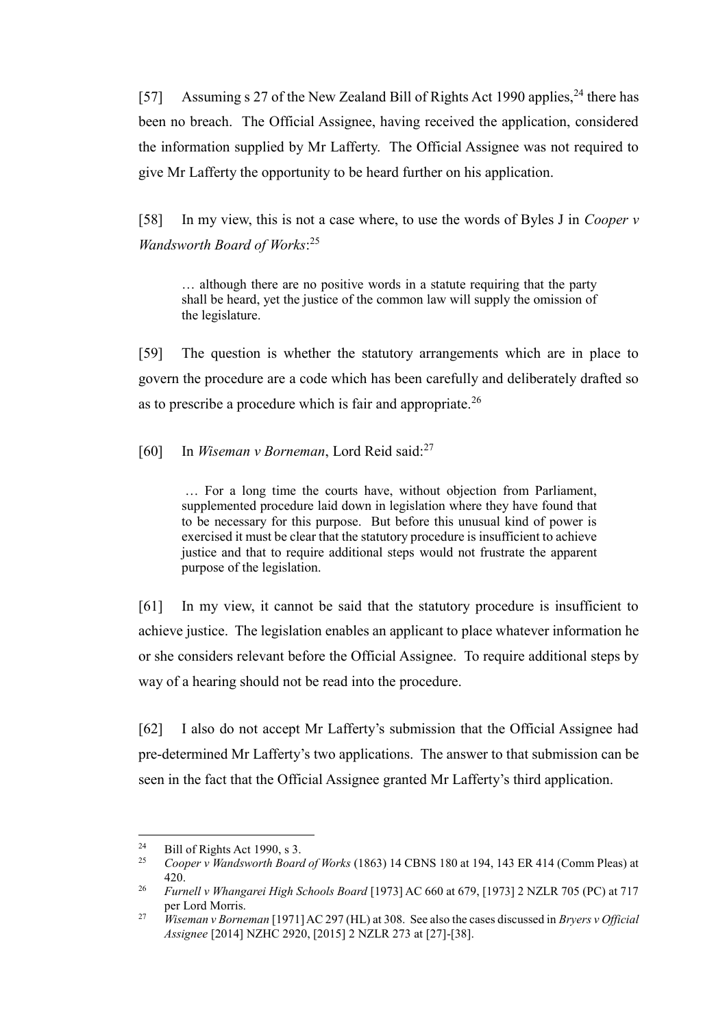[57] Assuming s 27 of the New Zealand Bill of Rights Act 1990 applies, <sup>24</sup> there has been no breach. The Official Assignee, having received the application, considered the information supplied by Mr Lafferty. The Official Assignee was not required to give Mr Lafferty the opportunity to be heard further on his application.

[58] In my view, this is not a case where, to use the words of Byles J in *Cooper v Wandsworth Board of Works*: 25

… although there are no positive words in a statute requiring that the party shall be heard, yet the justice of the common law will supply the omission of the legislature.

[59] The question is whether the statutory arrangements which are in place to govern the procedure are a code which has been carefully and deliberately drafted so as to prescribe a procedure which is fair and appropriate.<sup>26</sup>

[60] In *Wiseman v Borneman*, Lord Reid said:<sup>27</sup>

… For a long time the courts have, without objection from Parliament, supplemented procedure laid down in legislation where they have found that to be necessary for this purpose. But before this unusual kind of power is exercised it must be clear that the statutory procedure is insufficient to achieve justice and that to require additional steps would not frustrate the apparent purpose of the legislation.

[61] In my view, it cannot be said that the statutory procedure is insufficient to achieve justice. The legislation enables an applicant to place whatever information he or she considers relevant before the Official Assignee. To require additional steps by way of a hearing should not be read into the procedure.

[62] I also do not accept Mr Lafferty's submission that the Official Assignee had pre-determined Mr Lafferty's two applications. The answer to that submission can be seen in the fact that the Official Assignee granted Mr Lafferty's third application.

 $\overline{a}$ 

<sup>&</sup>lt;sup>24</sup> Bill of Rights Act 1990, s 3.<br><sup>25</sup> Cooper v Wandsworth Board

<sup>25</sup> *Cooper v Wandsworth Board of Works* (1863) 14 CBNS 180 at 194, 143 ER 414 (Comm Pleas) at 420.

<sup>26</sup> *Furnell v Whangarei High Schools Board* [1973] AC 660 at 679, [1973] 2 NZLR 705 (PC) at 717 per Lord Morris.

<sup>27</sup> *Wiseman v Borneman* [1971] AC 297 (HL) at 308. See also the cases discussed in *Bryers v Official Assignee* [2014] NZHC 2920, [2015] 2 NZLR 273 at [27]-[38].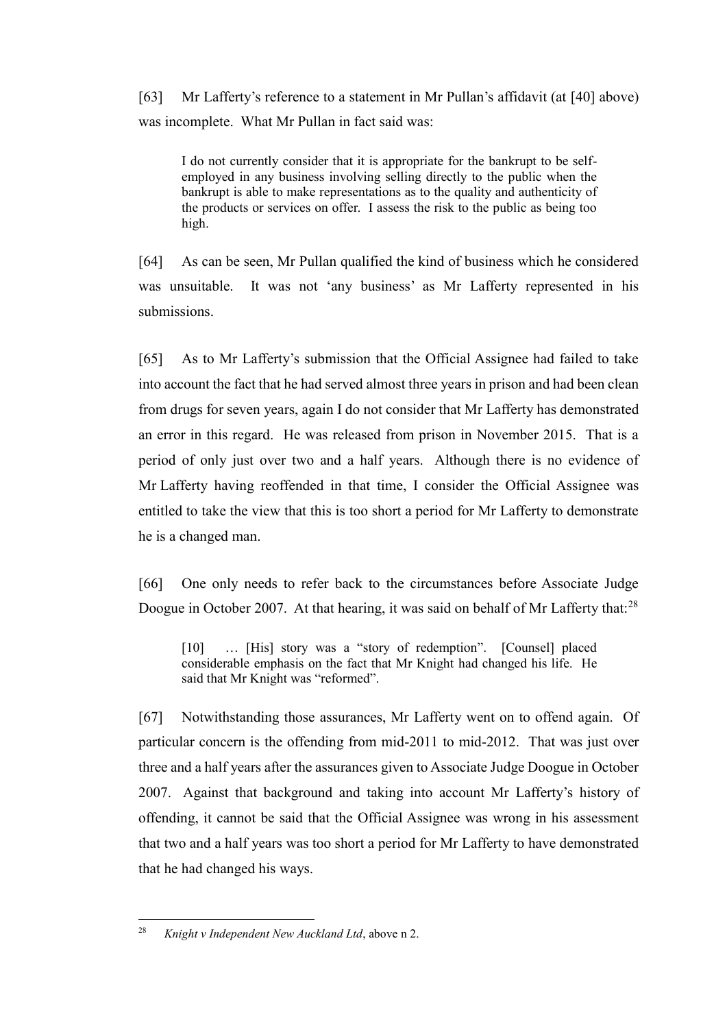[63] Mr Lafferty's reference to a statement in Mr Pullan's affidavit (at [\[40\]](#page-10-0) above) was incomplete. What Mr Pullan in fact said was:

I do not currently consider that it is appropriate for the bankrupt to be selfemployed in any business involving selling directly to the public when the bankrupt is able to make representations as to the quality and authenticity of the products or services on offer. I assess the risk to the public as being too high.

[64] As can be seen, Mr Pullan qualified the kind of business which he considered was unsuitable. It was not 'any business' as Mr Lafferty represented in his submissions.

[65] As to Mr Lafferty's submission that the Official Assignee had failed to take into account the fact that he had served almost three years in prison and had been clean from drugs for seven years, again I do not consider that Mr Lafferty has demonstrated an error in this regard. He was released from prison in November 2015. That is a period of only just over two and a half years. Although there is no evidence of Mr Lafferty having reoffended in that time, I consider the Official Assignee was entitled to take the view that this is too short a period for Mr Lafferty to demonstrate he is a changed man.

[66] One only needs to refer back to the circumstances before Associate Judge Doogue in October 2007. At that hearing, it was said on behalf of Mr Lafferty that:<sup>28</sup>

[10] ... [His] story was a "story of redemption". [Counsel] placed considerable emphasis on the fact that Mr Knight had changed his life. He said that Mr Knight was "reformed".

[67] Notwithstanding those assurances, Mr Lafferty went on to offend again. Of particular concern is the offending from mid-2011 to mid-2012. That was just over three and a half years after the assurances given to Associate Judge Doogue in October 2007. Against that background and taking into account Mr Lafferty's history of offending, it cannot be said that the Official Assignee was wrong in his assessment that two and a half years was too short a period for Mr Lafferty to have demonstrated that he had changed his ways.

 $\overline{a}$ <sup>28</sup> *Knight v Independent New Auckland Ltd*, above n [2.](#page-1-0)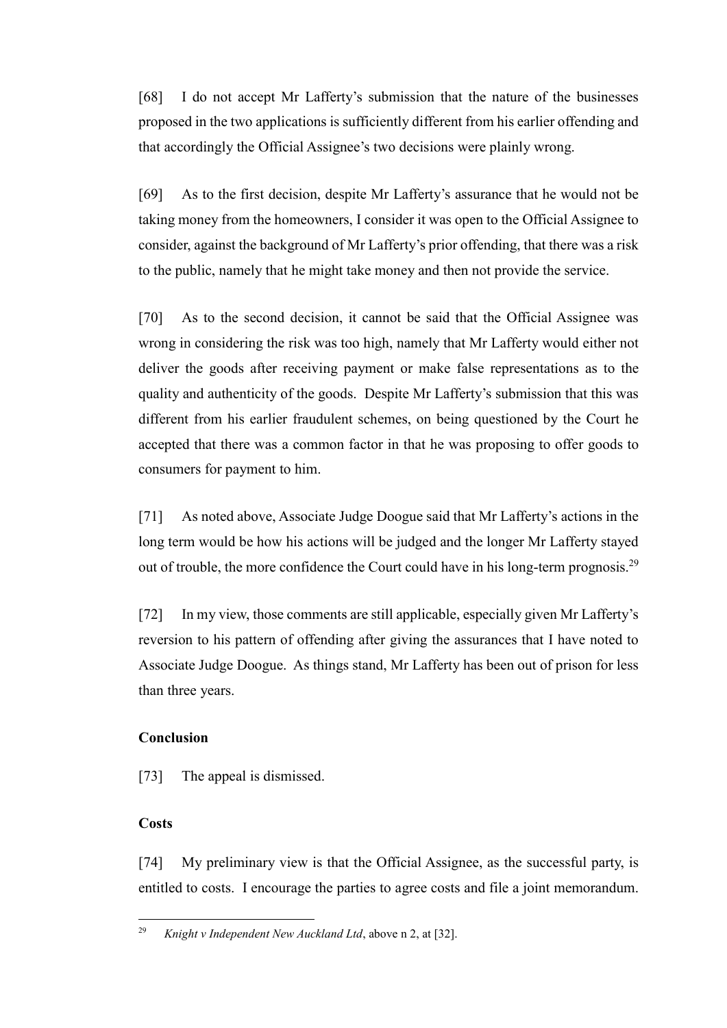[68] I do not accept Mr Lafferty's submission that the nature of the businesses proposed in the two applications is sufficiently different from his earlier offending and that accordingly the Official Assignee's two decisions were plainly wrong.

[69] As to the first decision, despite Mr Lafferty's assurance that he would not be taking money from the homeowners, I consider it was open to the Official Assignee to consider, against the background of Mr Lafferty's prior offending, that there was a risk to the public, namely that he might take money and then not provide the service.

[70] As to the second decision, it cannot be said that the Official Assignee was wrong in considering the risk was too high, namely that Mr Lafferty would either not deliver the goods after receiving payment or make false representations as to the quality and authenticity of the goods. Despite Mr Lafferty's submission that this was different from his earlier fraudulent schemes, on being questioned by the Court he accepted that there was a common factor in that he was proposing to offer goods to consumers for payment to him.

[71] As noted above, Associate Judge Doogue said that Mr Lafferty's actions in the long term would be how his actions will be judged and the longer Mr Lafferty stayed out of trouble, the more confidence the Court could have in his long-term prognosis.<sup>29</sup>

[72] In my view, those comments are still applicable, especially given Mr Lafferty's reversion to his pattern of offending after giving the assurances that I have noted to Associate Judge Doogue. As things stand, Mr Lafferty has been out of prison for less than three years.

# **Conclusion**

[73] The appeal is dismissed.

# **Costs**

[74] My preliminary view is that the Official Assignee, as the successful party, is entitled to costs. I encourage the parties to agree costs and file a joint memorandum.

 $\overline{a}$ <sup>29</sup> *Knight v Independent New Auckland Ltd*, above n 2, at [32].